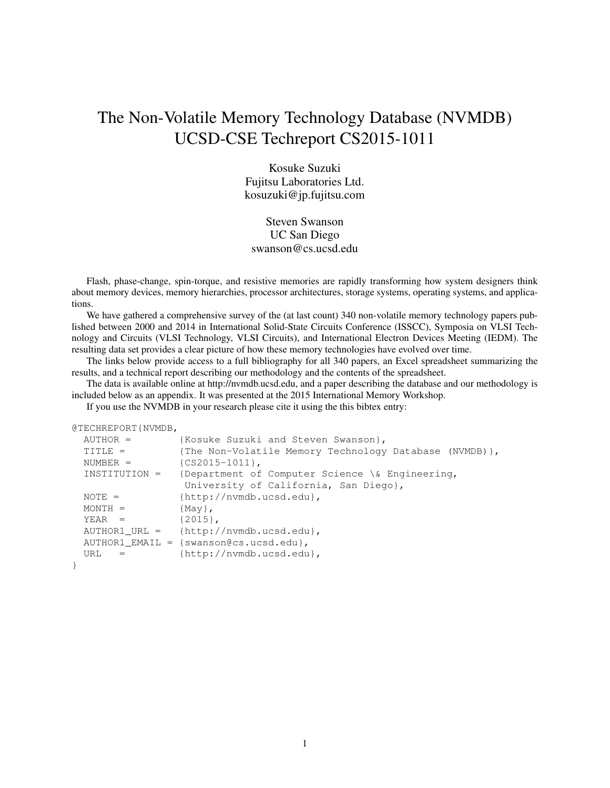# The Non-Volatile Memory Technology Database (NVMDB) UCSD-CSE Techreport CS2015-1011

Kosuke Suzuki Fujitsu Laboratories Ltd. kosuzuki@jp.fujitsu.com

Steven Swanson UC San Diego swanson@cs.ucsd.edu

Flash, phase-change, spin-torque, and resistive memories are rapidly transforming how system designers think about memory devices, memory hierarchies, processor architectures, storage systems, operating systems, and applications.

We have gathered a comprehensive survey of the (at last count) 340 non-volatile memory technology papers published between 2000 and 2014 in International Solid-State Circuits Conference (ISSCC), Symposia on VLSI Technology and Circuits (VLSI Technology, VLSI Circuits), and International Electron Devices Meeting (IEDM). The resulting data set provides a clear picture of how these memory technologies have evolved over time.

The links below provide access to a full bibliography for all 340 papers, an Excel spreadsheet summarizing the results, and a technical report describing our methodology and the contents of the spreadsheet.

The data is available online at http://nvmdb.ucsd.edu, and a paper describing the database and our methodology is included below as an appendix. It was presented at the 2015 International Memory Workshop.

If you use the NVMDB in your research please cite it using the this bibtex entry:

```
@TECHREPORT{NVMDB,
```

```
AUTHOR = {Kosuke Suzuki and Steven Swanson},
 TITLE = {The Non-Volatile Memory Technology Database (NVMDB)},
 NUMBER = {CS2015-1011},
 INSTITUTION = {Department of Computer Science \& Engineering,
               University of California, San Diego},
 NOTE = {http://nvmdb.ucsd.edu},
 MONTH = {May},YEAR = {2015},AUTHOR1_URL = {http://nvmdb.ucsd.edu},
 AUTHOR1_EMAIL = {swanson@cs.ucsd.edu},
 URL = {http://nvmdb.ucsd.edu},
}
```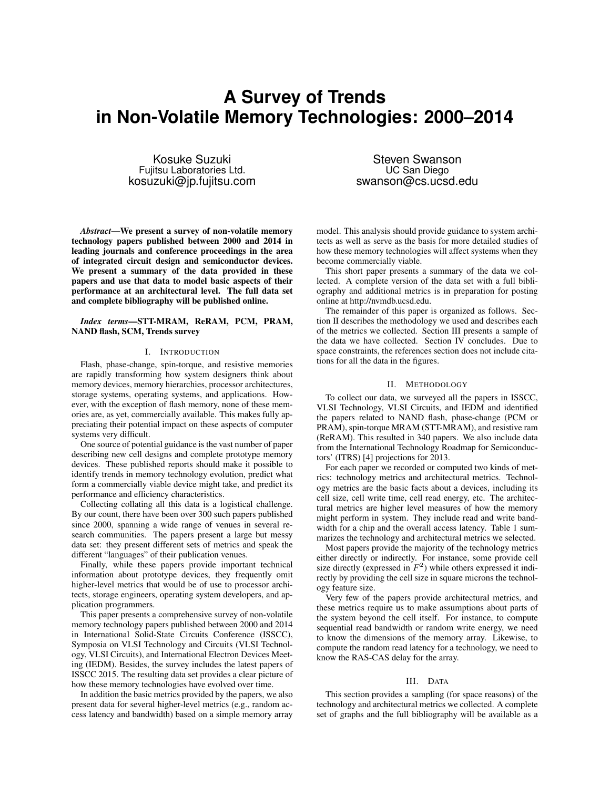# **A Survey of Trends in Non-Volatile Memory Technologies: 2000–2014**

Kosuke Suzuki Fujitsu Laboratories Ltd. kosuzuki@jp.fujitsu.com

*Abstract*—We present a survey of non-volatile memory technology papers published between 2000 and 2014 in leading journals and conference proceedings in the area of integrated circuit design and semiconductor devices. We present a summary of the data provided in these papers and use that data to model basic aspects of their performance at an architectural level. The full data set and complete bibliography will be published online.

### *Index terms*—STT-MRAM, ReRAM, PCM, PRAM, NAND flash, SCM, Trends survey

#### I. INTRODUCTION

Flash, phase-change, spin-torque, and resistive memories are rapidly transforming how system designers think about memory devices, memory hierarchies, processor architectures, storage systems, operating systems, and applications. However, with the exception of flash memory, none of these memories are, as yet, commercially available. This makes fully appreciating their potential impact on these aspects of computer systems very difficult.

One source of potential guidance is the vast number of paper describing new cell designs and complete prototype memory devices. These published reports should make it possible to identify trends in memory technology evolution, predict what form a commercially viable device might take, and predict its performance and efficiency characteristics.

Collecting collating all this data is a logistical challenge. By our count, there have been over 300 such papers published since 2000, spanning a wide range of venues in several research communities. The papers present a large but messy data set: they present different sets of metrics and speak the different "languages" of their publication venues.

Finally, while these papers provide important technical information about prototype devices, they frequently omit higher-level metrics that would be of use to processor architects, storage engineers, operating system developers, and application programmers.

This paper presents a comprehensive survey of non-volatile memory technology papers published between 2000 and 2014 in International Solid-State Circuits Conference (ISSCC), Symposia on VLSI Technology and Circuits (VLSI Technology, VLSI Circuits), and International Electron Devices Meeting (IEDM). Besides, the survey includes the latest papers of ISSCC 2015. The resulting data set provides a clear picture of how these memory technologies have evolved over time.

In addition the basic metrics provided by the papers, we also present data for several higher-level metrics (e.g., random access latency and bandwidth) based on a simple memory array

Steven Swanson UC San Diego swanson@cs.ucsd.edu

model. This analysis should provide guidance to system architects as well as serve as the basis for more detailed studies of how these memory technologies will affect systems when they become commercially viable.

This short paper presents a summary of the data we collected. A complete version of the data set with a full bibliography and additional metrics is in preparation for posting online at http://nvmdb.ucsd.edu.

The remainder of this paper is organized as follows. Section II describes the methodology we used and describes each of the metrics we collected. Section III presents a sample of the data we have collected. Section IV concludes. Due to space constraints, the references section does not include citations for all the data in the figures.

### II. METHODOLOGY

To collect our data, we surveyed all the papers in ISSCC, VLSI Technology, VLSI Circuits, and IEDM and identified the papers related to NAND flash, phase-change (PCM or PRAM), spin-torque MRAM (STT-MRAM), and resistive ram (ReRAM). This resulted in 340 papers. We also include data from the International Technology Roadmap for Semiconductors' (ITRS) [4] projections for 2013.

For each paper we recorded or computed two kinds of metrics: technology metrics and architectural metrics. Technology metrics are the basic facts about a devices, including its cell size, cell write time, cell read energy, etc. The architectural metrics are higher level measures of how the memory might perform in system. They include read and write bandwidth for a chip and the overall access latency. Table 1 summarizes the technology and architectural metrics we selected.

Most papers provide the majority of the technology metrics either directly or indirectly. For instance, some provide cell size directly (expressed in  $F^2$ ) while others expressed it indirectly by providing the cell size in square microns the technology feature size.

Very few of the papers provide architectural metrics, and these metrics require us to make assumptions about parts of the system beyond the cell itself. For instance, to compute sequential read bandwidth or random write energy, we need to know the dimensions of the memory array. Likewise, to compute the random read latency for a technology, we need to know the RAS-CAS delay for the array.

## III. DATA

This section provides a sampling (for space reasons) of the technology and architectural metrics we collected. A complete set of graphs and the full bibliography will be available as a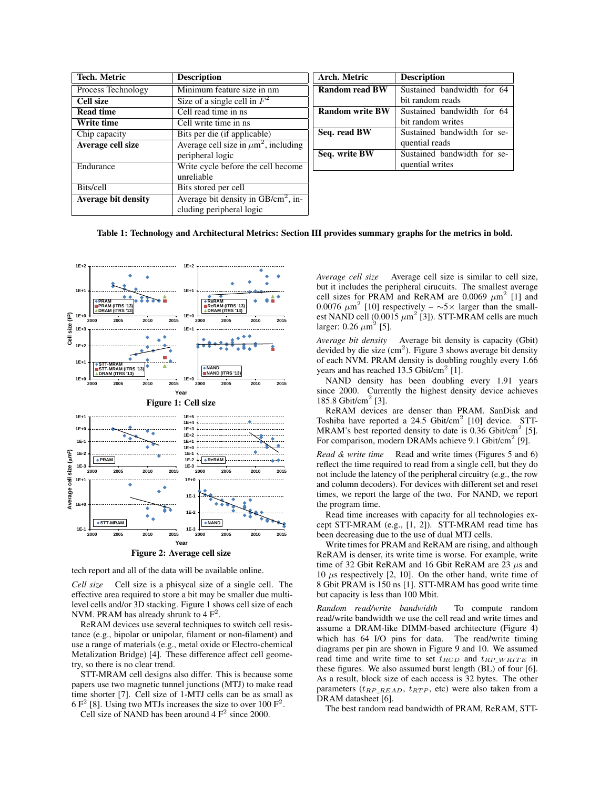| Tech. Metric               | <b>Description</b>                                    | Arch. Metric           | <b>Description</b>          |
|----------------------------|-------------------------------------------------------|------------------------|-----------------------------|
| Process Technology         | Minimum feature size in nm                            | <b>Random read BW</b>  | Sustained bandwidth for 64  |
| Cell size                  | Size of a single cell in $F^2$                        |                        | bit random reads            |
| <b>Read time</b>           | Cell read time in ns.                                 | <b>Random write BW</b> | Sustained bandwidth for 64  |
| Write time                 | Cell write time in ns                                 |                        | bit random writes           |
| Chip capacity              | Bits per die (if applicable)                          | Seq. read BW           | Sustained bandwidth for se- |
| Average cell size          | Average cell size in $\mu$ m <sup>2</sup> , including |                        | quential reads              |
|                            | peripheral logic                                      | Seq. write BW          | Sustained bandwidth for se- |
| Endurance                  | Write cycle before the cell become                    |                        | quential writes             |
|                            | unreliable                                            |                        |                             |
| Bits/cell                  | Bits stored per cell                                  |                        |                             |
| <b>Average bit density</b> | Average bit density in $GB/cm^2$ , in-                |                        |                             |
|                            | cluding peripheral logic                              |                        |                             |

### Table 1: Technology and Architectural Metrics: Section III provides summary graphs for the metrics in bold.



Figure 2: Average cell size

tech report and all of the data will be available online.

*Cell size* Cell size is a phisycal size of a single cell. The effective area required to store a bit may be smaller due multilevel cells and/or 3D stacking. Figure 1 shows cell size of each NVM. PRAM has already shrunk to  $4 F<sup>2</sup>$ .

ReRAM devices use several techniques to switch cell resistance (e.g., bipolar or unipolar, filament or non-filament) and use a range of materials (e.g., metal oxide or Electro-chemical Metalization Bridge) [4]. These difference affect cell geometry, so there is no clear trend.

STT-MRAM cell designs also differ. This is because some papers use two magnetic tunnel junctions (MTJ) to make read time shorter [7]. Cell size of 1-MTJ cells can be as small as  $6 F<sup>2</sup>$  [8]. Using two MTJs increases the size to over 100  $F<sup>2</sup>$ .

Cell size of NAND has been around  $4 F<sup>2</sup>$  since 2000.

*Average cell size* Average cell size is similar to cell size, but it includes the peripheral cirucuits. The smallest average cell sizes for PRAM and ReRAM are 0.0069  $\mu$ m<sup>2</sup> [1] and 0.0076  $\mu$ m<sup>2</sup> [10] respectively – ∼5× larger than the smallest NAND cell  $(0.0015 \ \mu m^2 \, [3])$ . STT-MRAM cells are much larger:  $0.26 \ \mu \text{m}^2$  [5].

*Average bit density* Average bit density is capacity (Gbit) devided by die size  $(cm<sup>2</sup>)$ . Figure 3 shows average bit density of each NVM. PRAM density is doubling roughly every 1.66 years and has reached  $13.5$  Gbit/cm<sup>2</sup> [1].

NAND density has been doubling every 1.91 years since 2000. Currently the highest density device achieves 185.8 Gbit/cm<sup>2</sup> [3].

ReRAM devices are denser than PRAM. SanDisk and Toshiba have reported a  $24.5$  Gbit/cm<sup>2</sup> [10] device. STT-MRAM's best reported density to date is  $0.36$  Gbit/cm<sup>2</sup> [5]. For comparison, modern DRAMs achieve 9.1 Gbit/cm<sup>2</sup> [9].

*Read & write time* Read and write times (Figures 5 and 6) reflect the time required to read from a single cell, but they do not include the latency of the peripheral circuitry (e.g., the row and column decoders). For devices with different set and reset times, we report the large of the two. For NAND, we report the program time.

Read time increases with capacity for all technologies except STT-MRAM (e.g., [1, 2]). STT-MRAM read time has been decreasing due to the use of dual MTJ cells.

Write times for PRAM and ReRAM are rising, and although ReRAM is denser, its write time is worse. For example, write time of 32 Gbit ReRAM and 16 Gbit ReRAM are 23  $\mu$ s and 10  $\mu$ s respectively [2, 10]. On the other hand, write time of 8 Gbit PRAM is 150 ns [1]. STT-MRAM has good write time but capacity is less than 100 Mbit.

*Random read/write bandwidth* To compute random read/write bandwidth we use the cell read and write times and assume a DRAM-like DIMM-based architecture (Figure 4) which has 64 I/O pins for data. The read/write timing diagrams per pin are shown in Figure 9 and 10. We assumed read time and write time to set  $t_{RCD}$  and  $t_{RP}$  w  $RITE$  in these figures. We also assumed burst length (BL) of four [6]. As a result, block size of each access is 32 bytes. The other parameters ( $t_{RP\_READ}$ ,  $t_{RTP}$ , etc) were also taken from a DRAM datasheet [6].

The best random read bandwidth of PRAM, ReRAM, STT-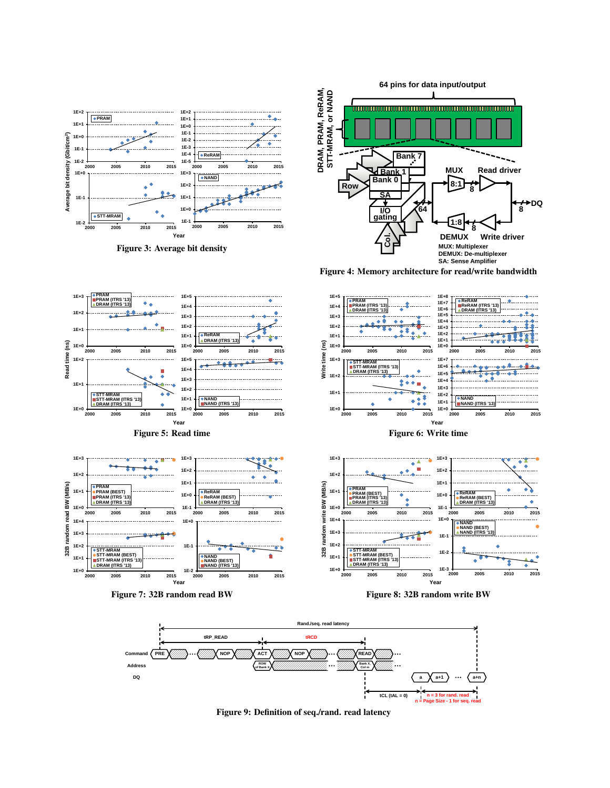





Figure 4: Memory architecture for read/write bandwidth



Figure 7: 32B random read BW



٠



Figure 9: Definition of seq./rand. read latency